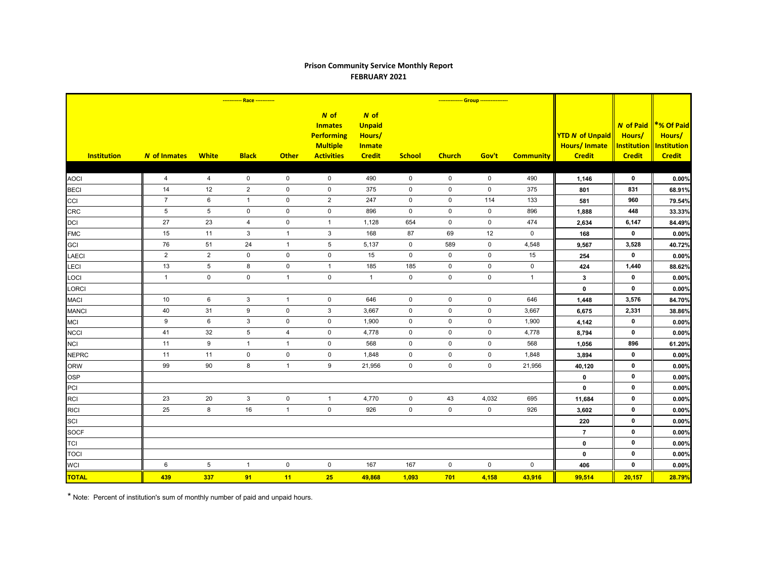## **Prison Community Service Monthly Report FEBRUARY 2021**

| <b>Institution</b> | <b>N</b> of Inmates | <b>White</b>     | <b>Black</b>   | <b>Other</b>   | N of<br><b>Inmates</b><br><b>Performing</b><br><b>Multiple</b><br><b>Activities</b> | $N$ of<br><b>Unpaid</b><br>Hours/<br><b>Inmate</b><br><b>Credit</b> | <b>School</b>       | <b>Church</b>       | Gov't               | <b>Community</b> | <b>YTD N of Unpaid</b><br><b>Hours/Inmate</b><br><b>Credit</b> | <b>N</b> of Paid<br>Hours/<br><b>Institution</b><br><b>Credit</b> | <b>*% Of Paid</b><br>Hours/<br><b>Institution</b><br><b>Credit</b> |
|--------------------|---------------------|------------------|----------------|----------------|-------------------------------------------------------------------------------------|---------------------------------------------------------------------|---------------------|---------------------|---------------------|------------------|----------------------------------------------------------------|-------------------------------------------------------------------|--------------------------------------------------------------------|
|                    |                     |                  |                |                |                                                                                     |                                                                     |                     |                     |                     |                  |                                                                |                                                                   |                                                                    |
| <b>AOCI</b>        | $\overline{4}$      | 4                | $\mathbf 0$    | $\mathbf 0$    | $\mathbf 0$                                                                         | 490                                                                 | $\mathsf{O}$        | 0                   | $\mathbf 0$         | 490              | 1,146                                                          | $\mathbf 0$                                                       | 0.00%                                                              |
| <b>BECI</b>        | 14                  | 12               | $\overline{2}$ | $\pmb{0}$      | $\mathbf 0$                                                                         | 375                                                                 | $\mathbf 0$         | $\mathbf 0$         | $\mathbf 0$         | 375              | 801                                                            | 831                                                               | 68.91%                                                             |
| CCI                | $\overline{7}$      | 6                | $\mathbf{1}$   | $\mathbf 0$    | 2                                                                                   | 247                                                                 | $\mathbf 0$         | $\mathbf 0$         | 114                 | 133              | 581                                                            | 960                                                               | 79.54%                                                             |
| <b>CRC</b>         | $5\phantom{.0}$     | $\overline{5}$   | $\mathbf 0$    | $\pmb{0}$      | $\mathsf{O}\xspace$                                                                 | 896                                                                 | $\mathbf 0$         | $\mathsf 0$         | $\mathsf 0$         | 896              | 1,888                                                          | 448                                                               | 33.33%                                                             |
| <b>DCI</b>         | 27                  | 23               | $\overline{4}$ | $\pmb{0}$      | $\mathbf{1}$                                                                        | 1,128                                                               | 654                 | $\mathbf 0$         | $\pmb{0}$           | 474              | 2,634                                                          | 6,147                                                             | 84.49%                                                             |
| <b>FMC</b>         | 15                  | 11               | 3              | $\mathbf{1}$   | 3                                                                                   | 168                                                                 | 87                  | 69                  | 12                  | $\mathbf 0$      | 168                                                            | $\mathbf 0$                                                       | 0.00%                                                              |
| <b>GCI</b>         | 76                  | 51               | 24             | $\mathbf{1}$   | $\,$ 5 $\,$                                                                         | 5,137                                                               | $\mathbf 0$         | 589                 | $\mathbf 0$         | 4,548            | 9,567                                                          | 3,528                                                             | 40.72%                                                             |
| <b>LAECI</b>       | $\overline{2}$      | 2                | $\mathbf 0$    | $\pmb{0}$      | $\mathbf 0$                                                                         | 15                                                                  | $\mathbf 0$         | $\mathbf 0$         | $\mathbf 0$         | 15               | 254                                                            | $\mathbf{0}$                                                      | 0.00%                                                              |
| LECI               | 13                  | $\overline{5}$   | 8              | $\pmb{0}$      | $\mathbf{1}$                                                                        | 185                                                                 | 185                 | $\mathbf 0$         | $\mathbf 0$         | $\mathbf 0$      | 424                                                            | 1,440                                                             | 88.62%                                                             |
| LOCI               | $\mathbf{1}$        | $\pmb{0}$        | $\mathsf 0$    | $\mathbf{1}$   | $\mathsf{O}\xspace$                                                                 | $\overline{1}$                                                      | $\mathsf 0$         | $\mathsf{O}\xspace$ | $\mathbf 0$         | $\mathbf{1}$     | $3\phantom{a}$                                                 | 0                                                                 | 0.00%                                                              |
| LORCI              |                     |                  |                |                |                                                                                     |                                                                     |                     |                     |                     |                  | $\pmb{0}$                                                      | $\mathbf{0}$                                                      | 0.00%                                                              |
| <b>MACI</b>        | 10                  | 6                | 3              | $\overline{1}$ | 0                                                                                   | 646                                                                 | $\mathbf 0$         | $\mathbf 0$         | $\mathbf 0$         | 646              | 1,448                                                          | 3,576                                                             | 84.70%                                                             |
| <b>MANCI</b>       | 40                  | 31               | 9              | $\mathbf 0$    | 3                                                                                   | 3,667                                                               | $\mathbf 0$         | $\mathbf 0$         | $\mathbf 0$         | 3,667            | 6,675                                                          | 2,331                                                             | 38.86%                                                             |
| <b>MCI</b>         | $\boldsymbol{9}$    | 6                | $\mathbf{3}$   | $\pmb{0}$      | $\mathbf 0$                                                                         | 1,900                                                               | $\mathbf 0$         | $\mathbf 0$         | $\mathbf 0$         | 1,900            | 4,142                                                          | $\mathbf 0$                                                       | 0.00%                                                              |
| <b>NCCI</b>        | 41                  | 32               | 5              | 4              | $\mathbf 0$                                                                         | 4,778                                                               | $\mathbf 0$         | $\mathbf 0$         | $\mathbf 0$         | 4,778            | 8,794                                                          | $\mathbf 0$                                                       | 0.00%                                                              |
| <b>NCI</b>         | 11                  | $\boldsymbol{9}$ | $\mathbf{1}$   | $\mathbf{1}$   | $\mathsf{O}\xspace$                                                                 | 568                                                                 | $\mathsf{O}\xspace$ | $\mathsf{O}\xspace$ | $\pmb{0}$           | 568              | 1,056                                                          | 896                                                               | 61.20%                                                             |
| <b>NEPRC</b>       | 11                  | 11               | $\mathbf 0$    | $\pmb{0}$      | $\pmb{0}$                                                                           | 1,848                                                               | $\mathbf 0$         | $\mathbf 0$         | $\pmb{0}$           | 1,848            | 3,894                                                          | $\mathbf 0$                                                       | 0.00%                                                              |
| <b>ORW</b>         | 99                  | 90               | 8              | $\mathbf{1}$   | 9                                                                                   | 21,956                                                              | $\mathbf 0$         | $\mathbf 0$         | $\mathbf 0$         | 21,956           | 40,120                                                         | $\mathbf 0$                                                       | 0.00%                                                              |
| <b>OSP</b>         |                     |                  |                |                |                                                                                     |                                                                     |                     |                     |                     |                  | $\mathbf 0$                                                    | $\mathbf 0$                                                       | 0.00%                                                              |
| PCI                |                     |                  |                |                |                                                                                     |                                                                     |                     |                     |                     |                  | $\pmb{0}$                                                      | $\mathbf 0$                                                       | 0.00%                                                              |
| <b>RCI</b>         | 23                  | 20               | $\mathbf{3}$   | $\pmb{0}$      | $\mathbf{1}$                                                                        | 4,770                                                               | $\mathbf 0$         | 43                  | 4,032               | 695              | 11,684                                                         | $\mathbf 0$                                                       | 0.00%                                                              |
| <b>RICI</b>        | 25                  | 8                | 16             | $\mathbf{1}$   | $\pmb{0}$                                                                           | 926                                                                 | $\mathsf{O}\xspace$ | $\mathsf 0$         | $\mathsf{O}\xspace$ | 926              | 3,602                                                          | $\mathbf 0$                                                       | 0.00%                                                              |
| SCI                |                     |                  |                |                |                                                                                     |                                                                     |                     |                     |                     |                  | 220                                                            | $\mathbf 0$                                                       | 0.00%                                                              |
| <b>SOCF</b>        |                     |                  |                |                |                                                                                     |                                                                     |                     |                     |                     |                  | $\overline{7}$                                                 | $\mathbf 0$                                                       | 0.00%                                                              |
| <b>TCI</b>         |                     |                  |                |                |                                                                                     |                                                                     |                     |                     |                     |                  | $\pmb{0}$                                                      | $\mathbf 0$                                                       | 0.00%                                                              |
| <b>TOCI</b>        |                     |                  |                |                |                                                                                     |                                                                     |                     |                     |                     |                  | $\pmb{0}$                                                      | $\mathbf 0$                                                       | 0.00%                                                              |
| <b>WCI</b>         | 6                   | $\sqrt{5}$       | $\mathbf{1}$   | $\pmb{0}$      | $\mathbf 0$                                                                         | 167                                                                 | 167                 | $\mathbf 0$         | $\mathbf 0$         | $\mathbf 0$      | 406                                                            | $\mathbf 0$                                                       | 0.00%                                                              |
| <b>TOTAL</b>       | 439                 | 337              | 91             | 11             | 25                                                                                  | 49,868                                                              | 1,093               | 701                 | 4,158               | 43,916           | 99,514                                                         | 20,157                                                            | 28.79%                                                             |

\* Note: Percent of institution's sum of monthly number of paid and unpaid hours.